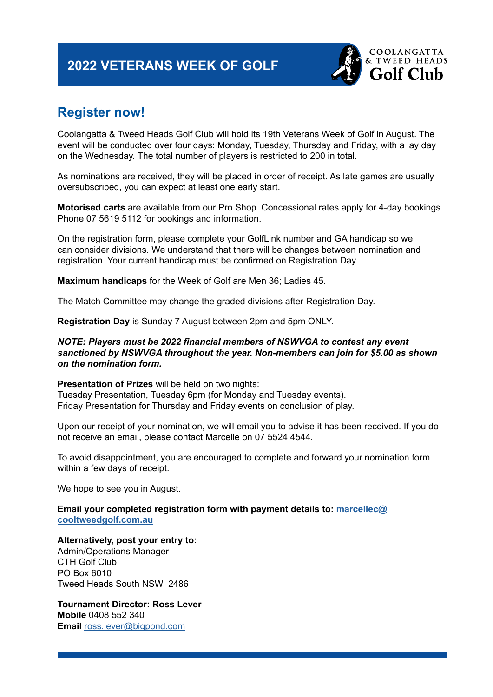# **2022 VETERANS WEEK OF GOLF**



# **Register now!**

Coolangatta & Tweed Heads Golf Club will hold its 19th Veterans Week of Golf in August. The event will be conducted over four days: Monday, Tuesday, Thursday and Friday, with a lay day on the Wednesday. The total number of players is restricted to 200 in total.

As nominations are received, they will be placed in order of receipt. As late games are usually oversubscribed, you can expect at least one early start.

**Motorised carts** are available from our Pro Shop. Concessional rates apply for 4-day bookings. Phone 07 5619 5112 for bookings and information.

On the registration form, please complete your GolfLink number and GA handicap so we can consider divisions. We understand that there will be changes between nomination and registration. Your current handicap must be confirmed on Registration Day.

**Maximum handicaps** for the Week of Golf are Men 36; Ladies 45.

The Match Committee may change the graded divisions after Registration Day.

**Registration Day** is Sunday 7 August between 2pm and 5pm ONLY.

#### *NOTE: Players must be 2022 financial members of NSWVGA to contest any event sanctioned by NSWVGA throughout the year. Non-members can join for \$5.00 as shown on the nomination form.*

**Presentation of Prizes** will be held on two nights:

Tuesday Presentation, Tuesday 6pm (for Monday and Tuesday events). Friday Presentation for Thursday and Friday events on conclusion of play.

Upon our receipt of your nomination, we will email you to advise it has been received. If you do not receive an email, please contact Marcelle on 07 5524 4544.

To avoid disappointment, you are encouraged to complete and forward your nomination form within a few days of receipt.

We hope to see you in August.

**Email your completed registration form with payment details to: [marcellec@](mailto:marcellec%40cooltweedgolf.com.au?subject=) [cooltweedgolf.com.au](mailto:marcellec%40cooltweedgolf.com.au?subject=)**

**Alternatively, post your entry to:** 

Admin/Operations Manager CTH Golf Club PO Box 6010 Tweed Heads South NSW 2486

**Tournament Director: Ross Lever Mobile** 0408 552 340 **Email** [ross.lever@bigpond.com](mailto:ross.lever%40bigpond.com?subject=)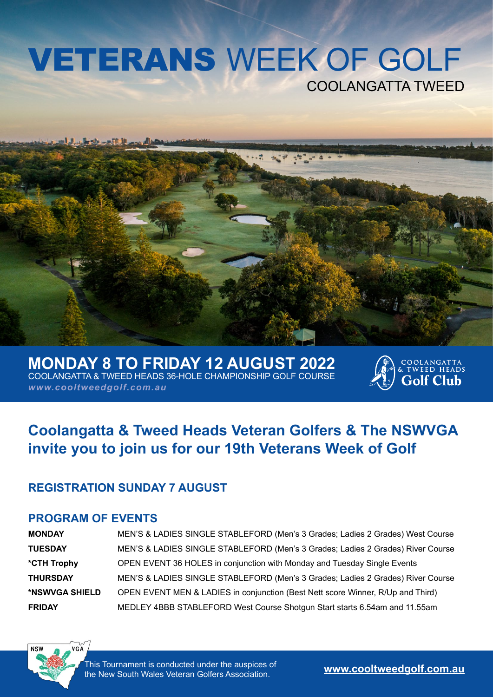# VETERANS WEEK OF GOLF COOLANGATTA TWEED



**MONDAY 8 TO FRIDAY 12 AUGUST 2022** COOLANGATTA & TWEED HEADS 36-HOLE CHAMPIONSHIP GOLF COURSE *www.cooltweedgolf.com.au*



# **Coolangatta & Tweed Heads Veteran Golfers & The NSWVGA invite you to join us for our 19th Veterans Week of Golf**

## **REGISTRATION SUNDAY 7 AUGUST**

## **PROGRAM OF EVENTS**

| <b>MONDAY</b>   | MEN'S & LADIES SINGLE STABLEFORD (Men's 3 Grades; Ladies 2 Grades) West Course  |
|-----------------|---------------------------------------------------------------------------------|
| <b>TUESDAY</b>  | MEN'S & LADIES SINGLE STABLEFORD (Men's 3 Grades; Ladies 2 Grades) River Course |
| *CTH Trophy     | OPEN EVENT 36 HOLES in conjunction with Monday and Tuesday Single Events        |
| <b>THURSDAY</b> | MEN'S & LADIES SINGLE STABLEFORD (Men's 3 Grades; Ladies 2 Grades) River Course |
| *NSWVGA SHIELD  | OPEN EVENT MEN & LADIES in conjunction (Best Nett score Winner, R/Up and Third) |
| <b>FRIDAY</b>   | MEDLEY 4BBB STABLEFORD West Course Shotgun Start starts 6.54am and 11.55am      |



This Tournament is conducted under the auspices of the New South Wales Veteran Golfers Association. **www.[cooltweedgolf.com.au](http://cooltweedgolf.com.au/)**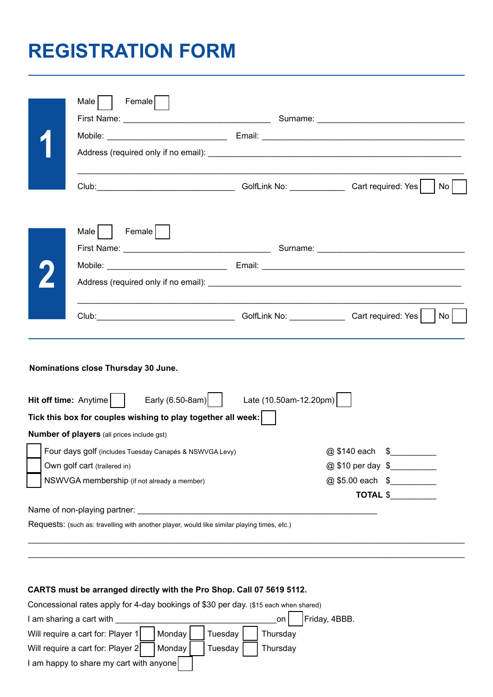# **REGISTRATION FORM**

|                              | Female<br>Male                                                                                                               |                        |      |
|------------------------------|------------------------------------------------------------------------------------------------------------------------------|------------------------|------|
|                              |                                                                                                                              |                        |      |
|                              |                                                                                                                              |                        |      |
|                              | Club: Club: Club: Club: Club: Club: Club: Club: Cart required: Yes                                                           |                        | No l |
|                              | Female<br>Male                                                                                                               |                        |      |
|                              |                                                                                                                              |                        |      |
|                              |                                                                                                                              |                        |      |
|                              |                                                                                                                              |                        |      |
|                              | Club: Club: Club: Club: Club: Club: Cart required: Yes                                                                       |                        | No   |
|                              | Nominations close Thursday 30 June.<br>Hit off time: Anytime $\vert$ $\vert$ Early (6.50-8am) $\vert$ Late (10.50am-12.20pm) |                        |      |
|                              | Tick this box for couples wishing to play together all week:                                                                 |                        |      |
|                              | <b>Number of players (all prices include gst)</b>                                                                            |                        |      |
|                              | Four days golf (includes Tuesday Canapés & NSWVGA Levy)                                                                      | @ \$140 each<br>$\sim$ |      |
| Own golf cart (trailered in) |                                                                                                                              | @ \$10 per day \$      |      |
|                              | NSWVGA membership (if not already a member)                                                                                  | @ \$5.00 each \$       |      |
|                              |                                                                                                                              | TOTAL \$               |      |
|                              | Requests: (such as: travelling with another player, would like similar playing times, etc.)                                  |                        |      |

\_\_\_\_\_\_\_\_\_\_\_\_\_\_\_\_\_\_\_\_\_\_\_\_\_\_\_\_\_\_\_\_\_\_\_\_\_\_\_\_\_\_\_\_\_\_\_\_\_\_\_\_\_\_\_\_\_\_\_\_\_\_\_\_\_\_\_\_\_\_\_\_\_\_\_\_\_\_\_\_\_\_\_\_\_\_\_\_\_\_\_\_\_\_

#### **CARTS must be arranged directly with the Pro Shop. Call 07 5619 5112.**

| Concessional rates apply for 4-day bookings of \$30 per day. (\$15 each when shared) |                      |  |  |  |  |  |
|--------------------------------------------------------------------------------------|----------------------|--|--|--|--|--|
| I am sharing a cart with                                                             | Friday, 4BBB.<br>on. |  |  |  |  |  |
| Will require a cart for: Player 1<br>Tuesday<br>Monday                               | Thursday             |  |  |  |  |  |
| Will require a cart for: Player 2<br>Monday<br>Tuesday                               | Thursday             |  |  |  |  |  |
| I am happy to share my cart with anyone                                              |                      |  |  |  |  |  |